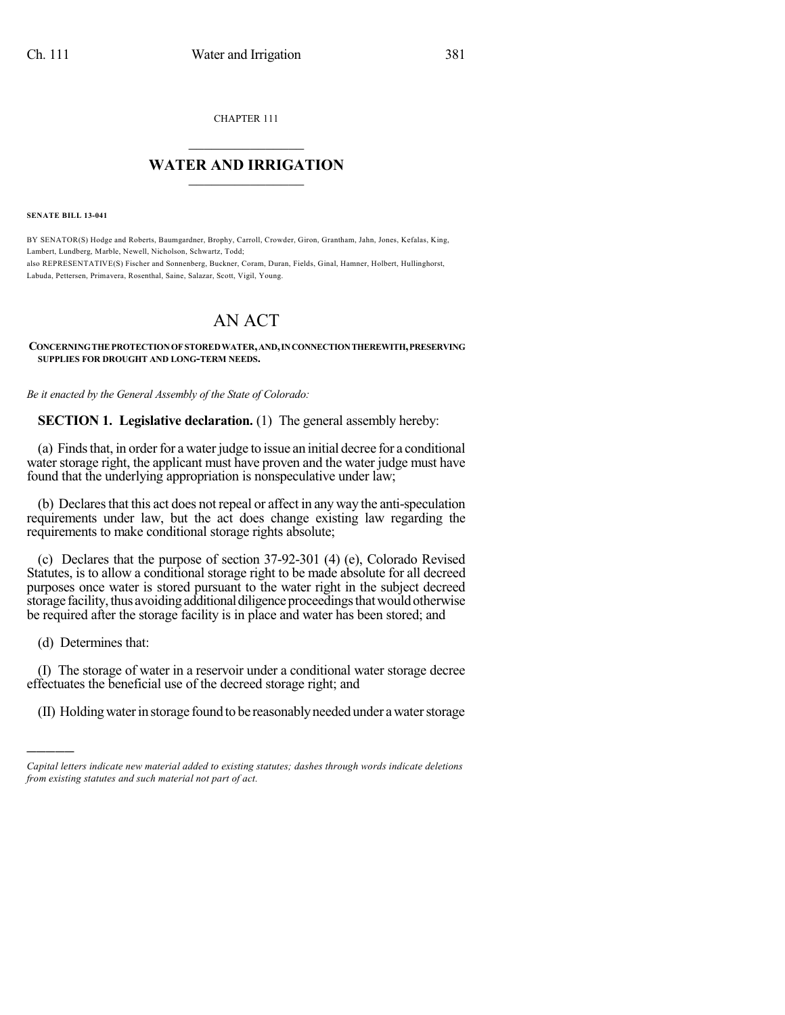CHAPTER 111

## $\mathcal{L}_\text{max}$  . The set of the set of the set of the set of the set of the set of the set of the set of the set of the set of the set of the set of the set of the set of the set of the set of the set of the set of the set **WATER AND IRRIGATION**  $\_$   $\_$

**SENATE BILL 13-041**

BY SENATOR(S) Hodge and Roberts, Baumgardner, Brophy, Carroll, Crowder, Giron, Grantham, Jahn, Jones, Kefalas, King, Lambert, Lundberg, Marble, Newell, Nicholson, Schwartz, Todd; also REPRESENTATIVE(S) Fischer and Sonnenberg, Buckner, Coram, Duran, Fields, Ginal, Hamner, Holbert, Hullinghorst, Labuda, Pettersen, Primavera, Rosenthal, Saine, Salazar, Scott, Vigil, Young.

## AN ACT

## **CONCERNINGTHE PROTECTIONOF STOREDWATER,AND,INCONNECTIONTHEREWITH,PRESERVING SUPPLIES FOR DROUGHT AND LONG-TERM NEEDS.**

*Be it enacted by the General Assembly of the State of Colorado:*

**SECTION 1. Legislative declaration.** (1) The general assembly hereby:

(a) Finds that, in order for a water judge to issue an initial decree for a conditional water storage right, the applicant must have proven and the water judge must have found that the underlying appropriation is nonspeculative under law;

(b) Declares that this act does not repeal or affect in any way the anti-speculation requirements under law, but the act does change existing law regarding the requirements to make conditional storage rights absolute;

(c) Declares that the purpose of section 37-92-301 (4) (e), Colorado Revised Statutes, is to allow a conditional storage right to be made absolute for all decreed purposes once water is stored pursuant to the water right in the subject decreed storage facility, thus avoiding additional diligence proceedings that would otherwise be required after the storage facility is in place and water has been stored; and

(d) Determines that:

)))))

(I) The storage of water in a reservoir under a conditional water storage decree effectuates the beneficial use of the decreed storage right; and

(II) Holding water in storage found to be reasonably needed under a water storage

*Capital letters indicate new material added to existing statutes; dashes through words indicate deletions from existing statutes and such material not part of act.*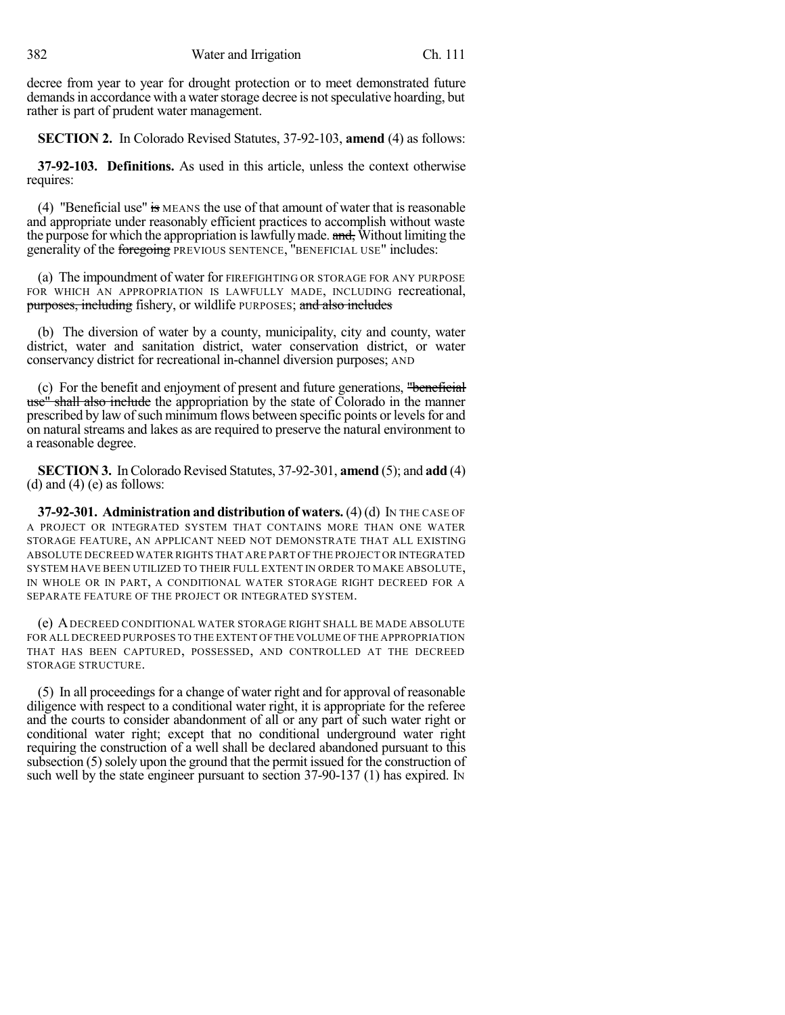decree from year to year for drought protection or to meet demonstrated future demands in accordance with a water storage decree is not speculative hoarding, but rather is part of prudent water management.

**SECTION 2.** In Colorado Revised Statutes, 37-92-103, **amend** (4) as follows:

**37-92-103. Definitions.** As used in this article, unless the context otherwise requires:

(4) "Beneficial use" is MEANS the use of that amount of water that is reasonable and appropriate under reasonably efficient practices to accomplish without waste the purpose for which the appropriation is lawfully made. and, Without limiting the generality of the foregoing PREVIOUS SENTENCE, "BENEFICIAL USE" includes:

(a) The impoundment of water for FIREFIGHTING OR STORAGE FOR ANY PURPOSE FOR WHICH AN APPROPRIATION IS LAWFULLY MADE, INCLUDING recreational, purposes, including fishery, or wildlife PURPOSES; and also includes

(b) The diversion of water by a county, municipality, city and county, water district, water and sanitation district, water conservation district, or water conservancy district for recreational in-channel diversion purposes; AND

(c) For the benefit and enjoyment of present and future generations, "beneficial use" shall also include the appropriation by the state of Colorado in the manner prescribed by law of such minimum flows between specific points or levels for and on natural streams and lakes as are required to preserve the natural environment to a reasonable degree.

**SECTION 3.** In Colorado Revised Statutes, 37-92-301, **amend** (5); and **add** (4) (d) and  $(4)$  (e) as follows:

**37-92-301. Administration and distribution of waters.** (4)(d) IN THE CASE OF A PROJECT OR INTEGRATED SYSTEM THAT CONTAINS MORE THAN ONE WATER STORAGE FEATURE, AN APPLICANT NEED NOT DEMONSTRATE THAT ALL EXISTING ABSOLUTE DECREED WATER RIGHTS THAT ARE PART OF THE PROJECT OR INTEGRATED SYSTEM HAVE BEEN UTILIZED TO THEIR FULL EXTENT IN ORDER TO MAKE ABSOLUTE, IN WHOLE OR IN PART, A CONDITIONAL WATER STORAGE RIGHT DECREED FOR A SEPARATE FEATURE OF THE PROJECT OR INTEGRATED SYSTEM.

(e) ADECREED CONDITIONAL WATER STORAGE RIGHT SHALL BE MADE ABSOLUTE FOR ALL DECREED PURPOSES TO THE EXTENT OFTHE VOLUME OF THE APPROPRIATION THAT HAS BEEN CAPTURED, POSSESSED, AND CONTROLLED AT THE DECREED STORAGE STRUCTURE.

(5) In all proceedings for a change of water right and for approval of reasonable diligence with respect to a conditional water right, it is appropriate for the referee and the courts to consider abandonment of all or any part of such water right or conditional water right; except that no conditional underground water right requiring the construction of a well shall be declared abandoned pursuant to this subsection (5) solely upon the ground that the permit issued for the construction of such well by the state engineer pursuant to section 37-90-137 (1) has expired. In